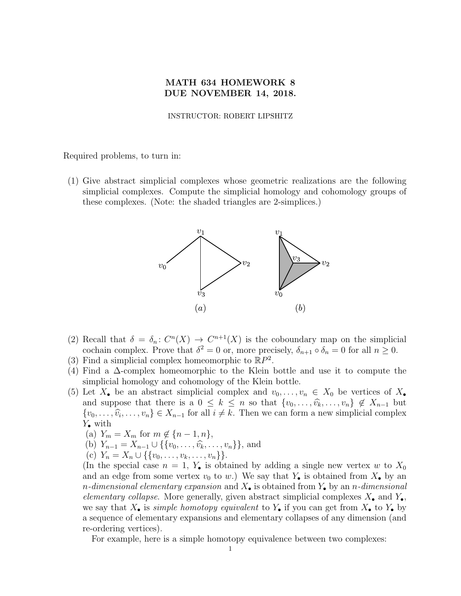## MATH 634 HOMEWORK 8 DUE NOVEMBER 14, 2018.

## INSTRUCTOR: ROBERT LIPSHITZ

Required problems, to turn in:

(1) Give abstract simplicial complexes whose geometric realizations are the following simplicial complexes. Compute the simplicial homology and cohomology groups of these complexes. (Note: the shaded triangles are 2-simplices.)



- (2) Recall that  $\delta = \delta_n : C^n(X) \to C^{n+1}(X)$  is the coboundary map on the simplicial cochain complex. Prove that  $\delta^2 = 0$  or, more precisely,  $\delta_{n+1} \circ \delta_n = 0$  for all  $n \geq 0$ .
- (3) Find a simplicial complex homeomorphic to  $\mathbb{R}P^2$ .
- (4) Find a ∆-complex homeomorphic to the Klein bottle and use it to compute the simplicial homology and cohomology of the Klein bottle.
- (5) Let  $X_{\bullet}$  be an abstract simplicial complex and  $v_0, \ldots, v_n \in X_0$  be vertices of  $X_{\bullet}$ and suppose that there is a  $0 \leq k \leq n$  so that  $\{v_0, \ldots, \widehat{v_k}, \ldots, v_n\} \notin X_{n-1}$  but  $\{v_0, \ldots, \hat{v_i}, \ldots, v_n\} \in X_{n-1}$  for all  $i \neq k$ . Then we can form a new simplicial complex  $V$  with  $Y_{\bullet}$  with
	- (a)  $Y_m = X_m$  for  $m \notin \{n-1, n\},\$
	- (b)  $Y_{n-1} = X_{n-1} \cup \{\{v_0, \ldots, \hat{v_k}, \ldots, v_n\}\}\,$  and
	- (c)  $Y_n = X_n \cup \{\{v_0, \ldots, v_k, \ldots, v_n\}\}.$

(In the special case  $n = 1$ ,  $Y_{\bullet}$  is obtained by adding a single new vertex w to  $X_0$ and an edge from some vertex  $v_0$  to w.) We say that  $Y_{\bullet}$  is obtained from  $X_{\bullet}$  by an *n*-dimensional elementary expansion and  $X_{\bullet}$  is obtained from  $Y_{\bullet}$  by an *n*-dimensional elementary collapse. More generally, given abstract simplicial complexes  $X_{\bullet}$  and  $Y_{\bullet}$ , we say that  $X_{\bullet}$  is *simple homotopy equivalent* to  $Y_{\bullet}$  if you can get from  $X_{\bullet}$  to  $Y_{\bullet}$  by a sequence of elementary expansions and elementary collapses of any dimension (and re-ordering vertices).

For example, here is a simple homotopy equivalence between two complexes: